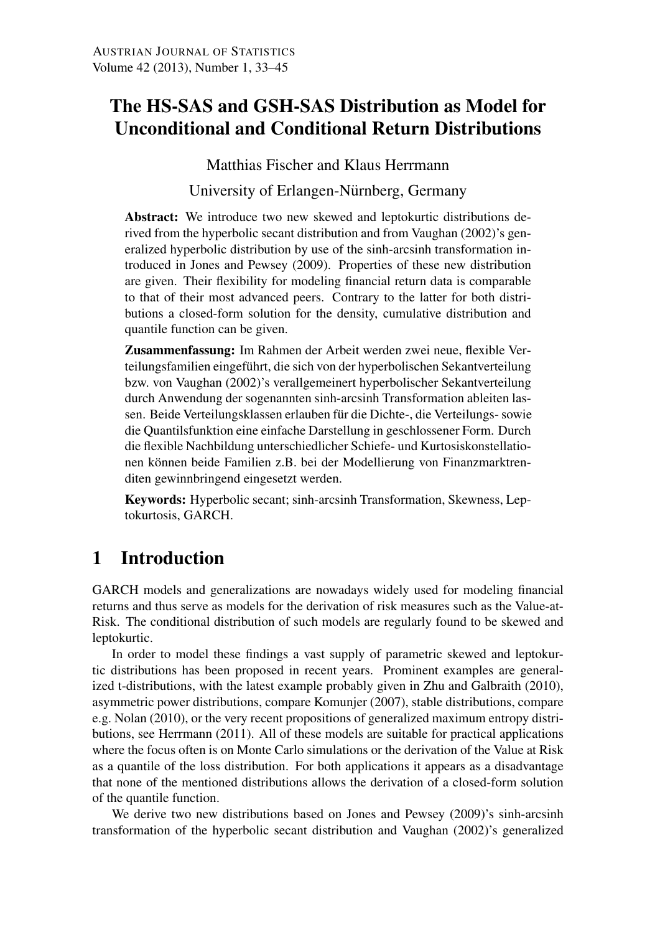## The HS-SAS and GSH-SAS Distribution as Model for Unconditional and Conditional Return Distributions

Matthias Fischer and Klaus Herrmann

University of Erlangen-Nürnberg, Germany

Abstract: We introduce two new skewed and leptokurtic distributions derived from the hyperbolic secant distribution and from Vaughan (2002)'s generalized hyperbolic distribution by use of the sinh-arcsinh transformation introduced in Jones and Pewsey (2009). Properties of these new distribution are given. Their flexibility for modeling financial return data is comparable to that of their most advanced peers. Contrary to the latter for both distributions a closed-form solution for the density, cumulative distribution and quantile function can be given.

Zusammenfassung: Im Rahmen der Arbeit werden zwei neue, flexible Verteilungsfamilien eingeführt, die sich von der hyperbolischen Sekantverteilung bzw. von Vaughan (2002)'s verallgemeinert hyperbolischer Sekantverteilung durch Anwendung der sogenannten sinh-arcsinh Transformation ableiten lassen. Beide Verteilungsklassen erlauben für die Dichte-, die Verteilungs- sowie die Quantilsfunktion eine einfache Darstellung in geschlossener Form. Durch die flexible Nachbildung unterschiedlicher Schiefe- und Kurtosiskonstellationen können beide Familien z.B. bei der Modellierung von Finanzmarktrenditen gewinnbringend eingesetzt werden.

Keywords: Hyperbolic secant; sinh-arcsinh Transformation, Skewness, Leptokurtosis, GARCH.

## 1 Introduction

GARCH models and generalizations are nowadays widely used for modeling financial returns and thus serve as models for the derivation of risk measures such as the Value-at-Risk. The conditional distribution of such models are regularly found to be skewed and leptokurtic.

In order to model these findings a vast supply of parametric skewed and leptokurtic distributions has been proposed in recent years. Prominent examples are generalized t-distributions, with the latest example probably given in Zhu and Galbraith (2010), asymmetric power distributions, compare Komunjer (2007), stable distributions, compare e.g. Nolan (2010), or the very recent propositions of generalized maximum entropy distributions, see Herrmann (2011). All of these models are suitable for practical applications where the focus often is on Monte Carlo simulations or the derivation of the Value at Risk as a quantile of the loss distribution. For both applications it appears as a disadvantage that none of the mentioned distributions allows the derivation of a closed-form solution of the quantile function.

We derive two new distributions based on Jones and Pewsey (2009)'s sinh-arcsinh transformation of the hyperbolic secant distribution and Vaughan (2002)'s generalized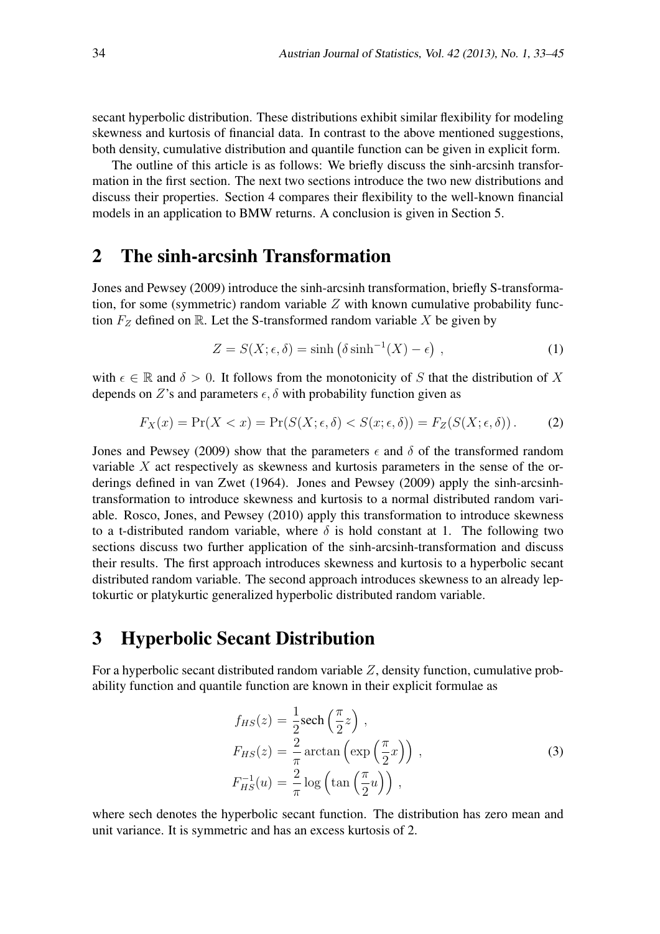secant hyperbolic distribution. These distributions exhibit similar flexibility for modeling skewness and kurtosis of financial data. In contrast to the above mentioned suggestions, both density, cumulative distribution and quantile function can be given in explicit form.

The outline of this article is as follows: We briefly discuss the sinh-arcsinh transformation in the first section. The next two sections introduce the two new distributions and discuss their properties. Section 4 compares their flexibility to the well-known financial models in an application to BMW returns. A conclusion is given in Section 5.

#### 2 The sinh-arcsinh Transformation

Jones and Pewsey (2009) introduce the sinh-arcsinh transformation, briefly S-transformation, for some (symmetric) random variable  $Z$  with known cumulative probability function  $F_Z$  defined on R. Let the S-transformed random variable X be given by

$$
Z = S(X; \epsilon, \delta) = \sinh\left(\delta \sinh^{-1}(X) - \epsilon\right) , \qquad (1)
$$

with  $\epsilon \in \mathbb{R}$  and  $\delta > 0$ . It follows from the monotonicity of *S* that the distribution of *X* depends on *Z*'s and parameters  $\epsilon$ ,  $\delta$  with probability function given as

$$
F_X(x) = \Pr(X < x) = \Pr(S(X; \epsilon, \delta) < S(x; \epsilon, \delta)) = F_Z(S(X; \epsilon, \delta)) \,. \tag{2}
$$

Jones and Pewsey (2009) show that the parameters  $\epsilon$  and  $\delta$  of the transformed random variable *X* act respectively as skewness and kurtosis parameters in the sense of the orderings defined in van Zwet (1964). Jones and Pewsey (2009) apply the sinh-arcsinhtransformation to introduce skewness and kurtosis to a normal distributed random variable. Rosco, Jones, and Pewsey (2010) apply this transformation to introduce skewness to a t-distributed random variable, where  $\delta$  is hold constant at 1. The following two sections discuss two further application of the sinh-arcsinh-transformation and discuss their results. The first approach introduces skewness and kurtosis to a hyperbolic secant distributed random variable. The second approach introduces skewness to an already leptokurtic or platykurtic generalized hyperbolic distributed random variable.

#### 3 Hyperbolic Secant Distribution

For a hyperbolic secant distributed random variable *Z*, density function, cumulative probability function and quantile function are known in their explicit formulae as

$$
f_{HS}(z) = \frac{1}{2} \operatorname{sech}\left(\frac{\pi}{2}z\right),
$$
  
\n
$$
F_{HS}(z) = \frac{2}{\pi} \arctan\left(\exp\left(\frac{\pi}{2}x\right)\right),
$$
  
\n
$$
F_{HS}^{-1}(u) = \frac{2}{\pi} \log\left(\tan\left(\frac{\pi}{2}u\right)\right),
$$
\n(3)

where sech denotes the hyperbolic secant function. The distribution has zero mean and unit variance. It is symmetric and has an excess kurtosis of 2.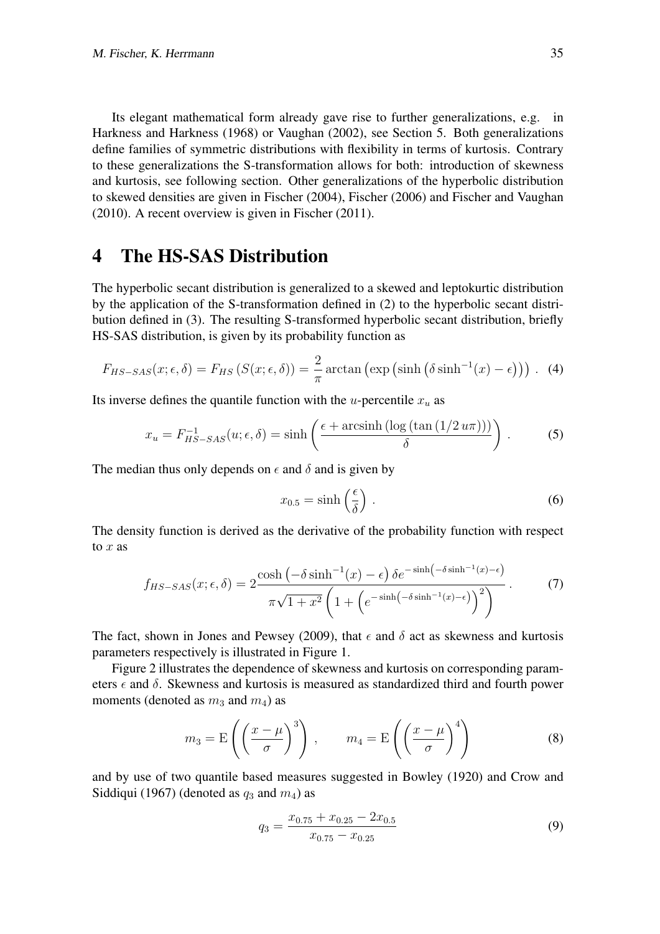Its elegant mathematical form already gave rise to further generalizations, e.g. in Harkness and Harkness (1968) or Vaughan (2002), see Section 5. Both generalizations define families of symmetric distributions with flexibility in terms of kurtosis. Contrary to these generalizations the S-transformation allows for both: introduction of skewness and kurtosis, see following section. Other generalizations of the hyperbolic distribution to skewed densities are given in Fischer (2004), Fischer (2006) and Fischer and Vaughan (2010). A recent overview is given in Fischer (2011).

#### 4 The HS-SAS Distribution

The hyperbolic secant distribution is generalized to a skewed and leptokurtic distribution by the application of the S-transformation defined in (2) to the hyperbolic secant distribution defined in (3). The resulting S-transformed hyperbolic secant distribution, briefly HS-SAS distribution, is given by its probability function as

$$
F_{HS- SAS}(x; \epsilon, \delta) = F_{HS}(S(x; \epsilon, \delta)) = \frac{2}{\pi} \arctan\left(\exp\left(\sinh\left(\delta \sinh^{-1}(x) - \epsilon\right)\right)\right). \tag{4}
$$

Its inverse defines the quantile function with the *u*-percentile  $x<sub>u</sub>$  as

$$
x_u = F_{HS- SAS}^{-1}(u; \epsilon, \delta) = \sinh\left(\frac{\epsilon + \operatorname{arcsinh}\left(\log\left(\tan\left(\frac{1}{2}u\pi\right)\right)\right)}{\delta}\right). \tag{5}
$$

The median thus only depends on  $\epsilon$  and  $\delta$  and is given by

$$
x_{0.5} = \sinh\left(\frac{\epsilon}{\delta}\right) \,. \tag{6}
$$

The density function is derived as the derivative of the probability function with respect to *x* as

$$
f_{HS- SAS}(x; \epsilon, \delta) = 2 \frac{\cosh \left( -\delta \sinh^{-1}(x) - \epsilon \right) \delta e^{-\sinh \left( -\delta \sinh^{-1}(x) - \epsilon \right)}}{\pi \sqrt{1 + x^2} \left( 1 + \left( e^{-\sinh \left( -\delta \sinh^{-1}(x) - \epsilon \right)} \right)^2} \right)}.
$$
(7)

The fact, shown in Jones and Pewsey (2009), that  $\epsilon$  and  $\delta$  act as skewness and kurtosis parameters respectively is illustrated in Figure 1.

Figure 2 illustrates the dependence of skewness and kurtosis on corresponding parameters *ϵ* and *δ*. Skewness and kurtosis is measured as standardized third and fourth power moments (denoted as  $m_3$  and  $m_4$ ) as

$$
m_3 = \mathcal{E}\left(\left(\frac{x-\mu}{\sigma}\right)^3\right), \qquad m_4 = \mathcal{E}\left(\left(\frac{x-\mu}{\sigma}\right)^4\right) \tag{8}
$$

and by use of two quantile based measures suggested in Bowley (1920) and Crow and Siddiqui (1967) (denoted as  $q_3$  and  $m_4$ ) as

$$
q_3 = \frac{x_{0.75} + x_{0.25} - 2x_{0.5}}{x_{0.75} - x_{0.25}}
$$
\n
$$
(9)
$$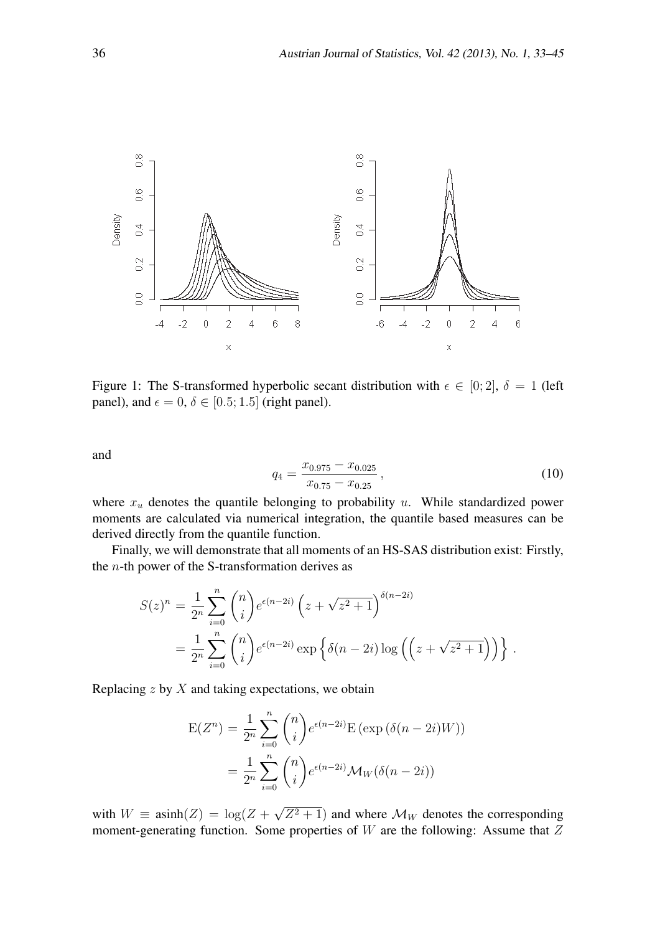

Figure 1: The S-transformed hyperbolic secant distribution with  $\epsilon \in [0; 2]$ ,  $\delta = 1$  (left panel), and  $\epsilon = 0$ ,  $\delta \in [0.5; 1.5]$  (right panel).

and

$$
q_4 = \frac{x_{0.975} - x_{0.025}}{x_{0.75} - x_{0.25}},
$$
\n(10)

where *x<sup>u</sup>* denotes the quantile belonging to probability *u*. While standardized power moments are calculated via numerical integration, the quantile based measures can be derived directly from the quantile function.

Finally, we will demonstrate that all moments of an HS-SAS distribution exist: Firstly, the *n*-th power of the S-transformation derives as

$$
S(z)^n = \frac{1}{2^n} \sum_{i=0}^n {n \choose i} e^{\epsilon(n-2i)} \left(z + \sqrt{z^2 + 1}\right)^{\delta(n-2i)}
$$
  
= 
$$
\frac{1}{2^n} \sum_{i=0}^n {n \choose i} e^{\epsilon(n-2i)} \exp \left\{\delta(n-2i) \log \left(\left(z + \sqrt{z^2 + 1}\right)\right)\right\}.
$$

Replacing *z* by *X* and taking expectations, we obtain

$$
E(Z^n) = \frac{1}{2^n} \sum_{i=0}^n {n \choose i} e^{\epsilon(n-2i)} E(\exp(\delta(n-2i)W))
$$
  
= 
$$
\frac{1}{2^n} \sum_{i=0}^n {n \choose i} e^{\epsilon(n-2i)} \mathcal{M}_W(\delta(n-2i))
$$

with  $W \equiv \text{asinh}(Z) = \log(Z + \sqrt{Z^2 + 1})$  and where  $\mathcal{M}_W$  denotes the corresponding moment-generating function. Some properties of *W* are the following: Assume that *Z*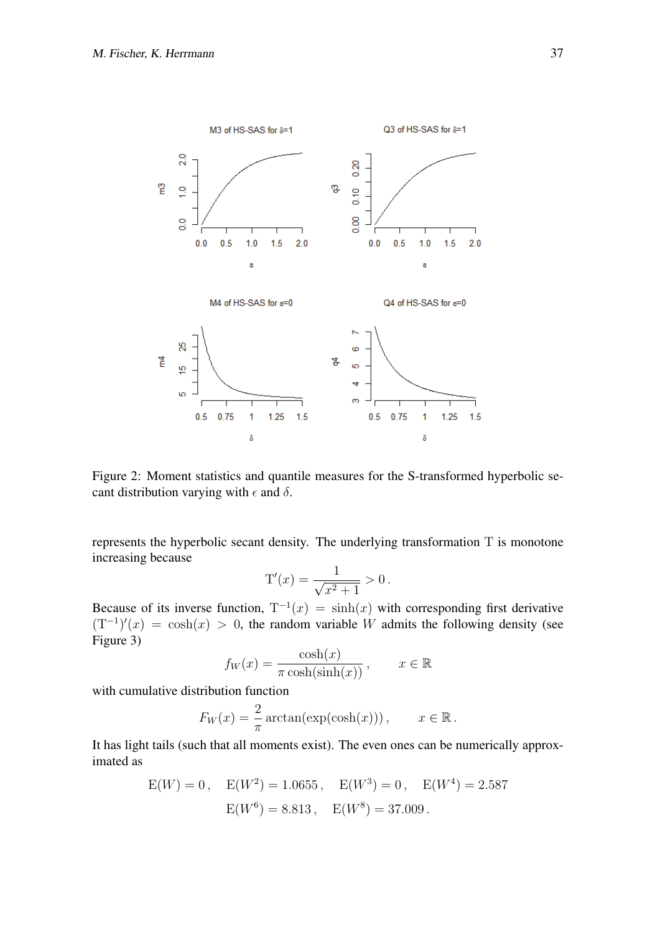

Figure 2: Moment statistics and quantile measures for the S-transformed hyperbolic secant distribution varying with  $\epsilon$  and  $\delta$ .

represents the hyperbolic secant density. The underlying transformation T is monotone increasing because

$$
T'(x) = \frac{1}{\sqrt{x^2 + 1}} > 0.
$$

Because of its inverse function,  $T^{-1}(x) = \sinh(x)$  with corresponding first derivative  $(T^{-1})'(x) = \cosh(x) > 0$ , the random variable *W* admits the following density (see Figure 3)

$$
f_W(x) = \frac{\cosh(x)}{\pi \cosh(\sinh(x))}, \qquad x \in \mathbb{R}
$$

with cumulative distribution function

$$
F_W(x) = \frac{2}{\pi} \arctan(\exp(\cosh(x))), \qquad x \in \mathbb{R}.
$$

It has light tails (such that all moments exist). The even ones can be numerically approximated as

$$
E(W) = 0, \quad E(W^2) = 1.0655, \quad E(W^3) = 0, \quad E(W^4) = 2.587
$$

$$
E(W^6) = 8.813, \quad E(W^8) = 37.009.
$$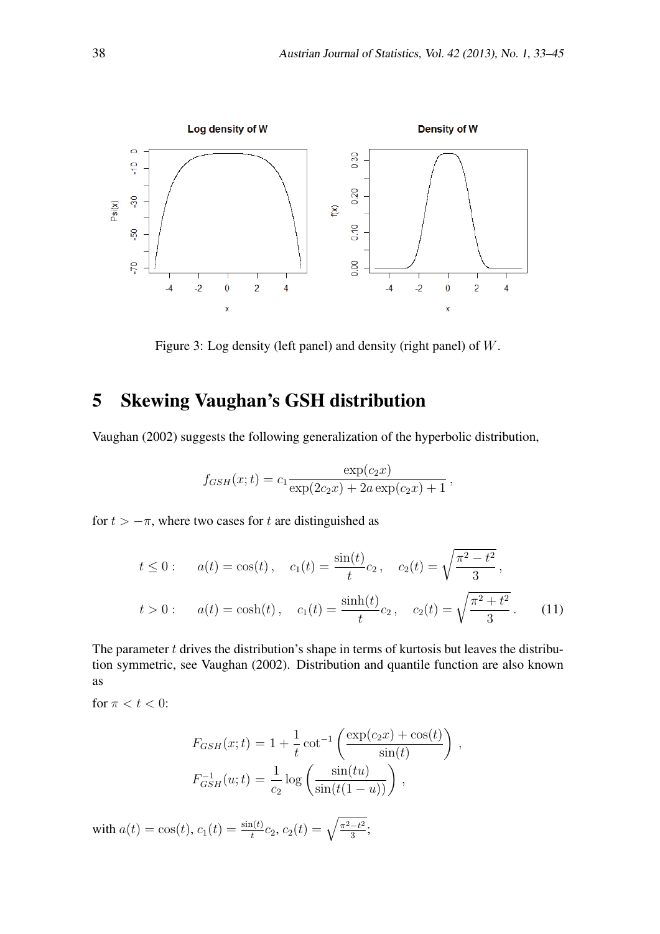

Figure 3: Log density (left panel) and density (right panel) of *W*.

# 5 Skewing Vaughan's GSH distribution

Vaughan (2002) suggests the following generalization of the hyperbolic distribution,

$$
f_{GSH}(x;t) = c_1 \frac{\exp(c_2 x)}{\exp(2c_2 x) + 2a \exp(c_2 x) + 1},
$$

for  $t > -\pi$ , where two cases for *t* are distinguished as

$$
t \le 0: \quad a(t) = \cos(t), \quad c_1(t) = \frac{\sin(t)}{t}c_2, \quad c_2(t) = \sqrt{\frac{\pi^2 - t^2}{3}},
$$

$$
t > 0: \quad a(t) = \cosh(t), \quad c_1(t) = \frac{\sinh(t)}{t}c_2, \quad c_2(t) = \sqrt{\frac{\pi^2 + t^2}{3}}.
$$
(11)

The parameter *t* drives the distribution's shape in terms of kurtosis but leaves the distribution symmetric, see Vaughan (2002). Distribution and quantile function are also known as

for  $\pi < t < 0$ :

$$
F_{GSH}(x;t) = 1 + \frac{1}{t} \cot^{-1} \left( \frac{\exp(c_2 x) + \cos(t)}{\sin(t)} \right),
$$
  

$$
F_{GSH}^{-1}(u;t) = \frac{1}{c_2} \log \left( \frac{\sin(tu)}{\sin(t(1-u))} \right),
$$

with  $a(t) = \cos(t)$ ,  $c_1(t) = \frac{\sin(t)}{t}c_2$ ,  $c_2(t) = \sqrt{\frac{\pi^2 - t^2}{3}}$  $\frac{-t^2}{3}$ ;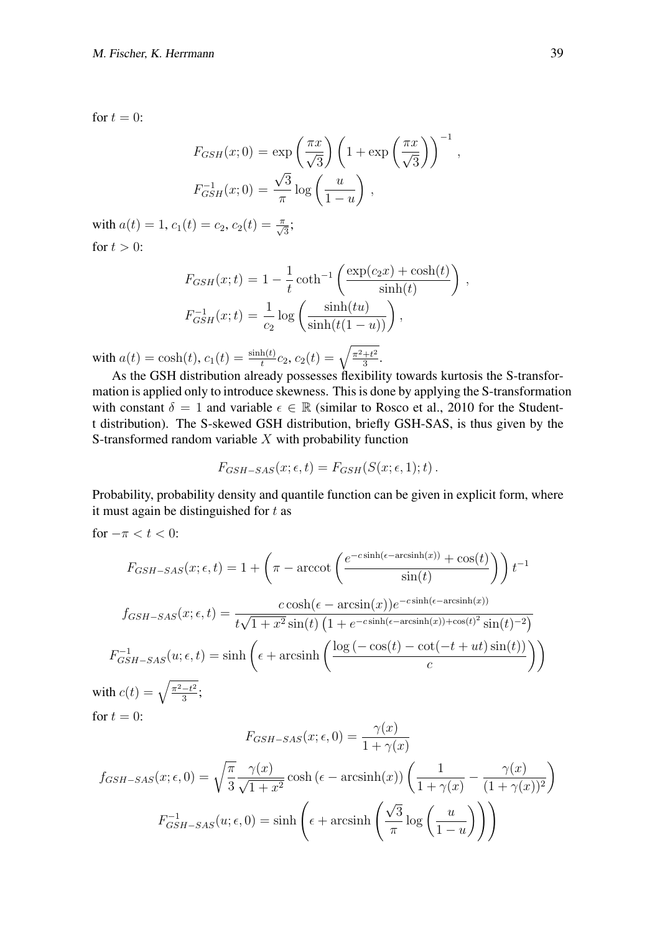for  $t = 0$ :

$$
F_{GSH}(x;0) = \exp\left(\frac{\pi x}{\sqrt{3}}\right) \left(1 + \exp\left(\frac{\pi x}{\sqrt{3}}\right)\right)^{-1},
$$
  

$$
F_{GSH}^{-1}(x;0) = \frac{\sqrt{3}}{\pi} \log\left(\frac{u}{1-u}\right),
$$

with  $a(t) = 1$ ,  $c_1(t) = c_2$ ,  $c_2(t) = \frac{\pi}{\sqrt{3}};$ for  $t > 0$ :

$$
F_{GSH}(x;t) = 1 - \frac{1}{t} \coth^{-1} \left( \frac{\exp(c_2 x) + \cosh(t)}{\sinh(t)} \right),
$$
  

$$
F_{GSH}^{-1}(x;t) = \frac{1}{c_2} \log \left( \frac{\sinh(tu)}{\sinh(t(1-u))} \right),
$$

with  $a(t) = \cosh(t)$ ,  $c_1(t) = \frac{\sinh(t)}{t}c_2$ ,  $c_2(t) = \sqrt{\frac{\pi^2 + t^2}{3}}$  $\frac{+t^2}{3}$ .

As the GSH distribution already possesses flexibility towards kurtosis the S-transformation is applied only to introduce skewness. This is done by applying the S-transformation with constant  $\delta = 1$  and variable  $\epsilon \in \mathbb{R}$  (similar to Rosco et al., 2010 for the Studentt distribution). The S-skewed GSH distribution, briefly GSH-SAS, is thus given by the S-transformed random variable *X* with probability function

$$
F_{GSH-SAS}(x; \epsilon, t) = F_{GSH}(S(x; \epsilon, 1); t).
$$

Probability, probability density and quantile function can be given in explicit form, where it must again be distinguished for *t* as

for  $-\pi < t < 0$ :

$$
F_{GSH-SAS}(x; \epsilon, t) = 1 + \left(\pi - \arccot\left(\frac{e^{-c\sinh(\epsilon - \arcsinh(x))} + \cos(t)}{\sin(t)}\right)\right)t^{-1}
$$

$$
f_{GSH-SAS}(x; \epsilon, t) = \frac{c\cosh(\epsilon - \arcsin(x))e^{-c\sinh(\epsilon - \arcsinh(x))}}{t\sqrt{1 + x^2}\sin(t)\left(1 + e^{-c\sinh(\epsilon - \arcsinh(x)) + \cos(t)^2}\sin(t)^{-2}\right)}
$$

$$
F_{GSH-SAS}^{-1}(u; \epsilon, t) = \sinh\left(\epsilon + \arcsinh\left(\frac{\log\left(-\cos(t) - \cot(-t + ut)\sin(t)\right)}{c}\right)\right)
$$
with  $c(t) = \sqrt{\frac{\pi^2 - t^2}{3}}$ ;  
for  $t = 0$ :

$$
F_{GSH-SAS}(x; \epsilon, 0) = \frac{\gamma(x)}{1 + \gamma(x)}
$$

$$
f_{GSH-SAS}(x; \epsilon, 0) = \sqrt{\frac{\pi}{3}} \frac{\gamma(x)}{\sqrt{1 + x^2}} \cosh(\epsilon - \operatorname{arcsinh}(x)) \left(\frac{1}{1 + \gamma(x)} - \frac{\gamma(x)}{(1 + \gamma(x))^2}\right)
$$

$$
F_{GSH-SAS}^{-1}(u; \epsilon, 0) = \sinh\left(\epsilon + \operatorname{arcsinh}\left(\frac{\sqrt{3}}{\pi}\log\left(\frac{u}{1 - u}\right)\right)\right)
$$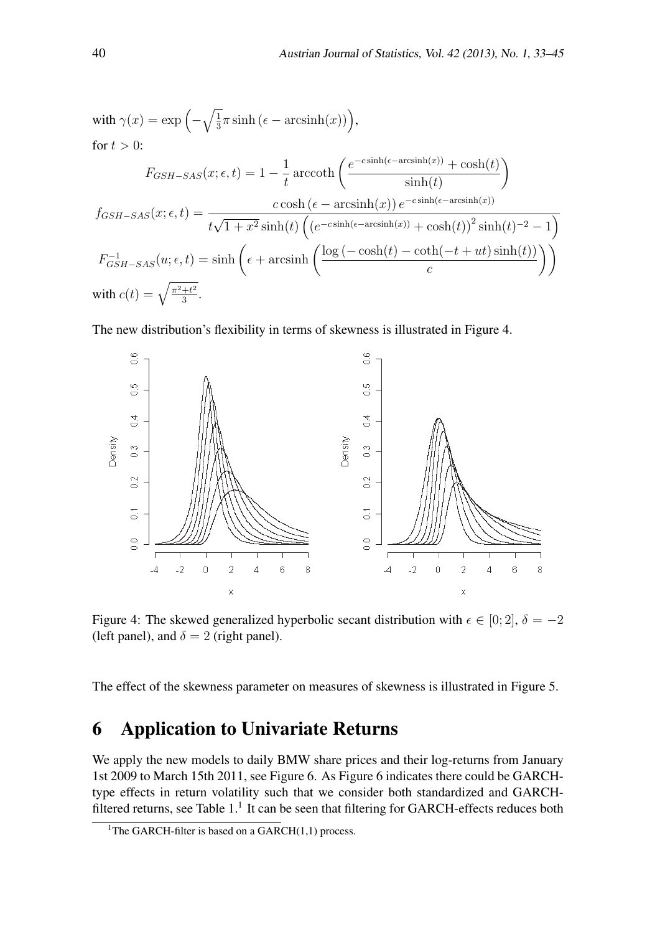with 
$$
\gamma(x) = \exp\left(-\sqrt{\frac{1}{3}}\pi \sinh(\epsilon - \operatorname{arcsinh}(x))\right)
$$
,  
\nfor  $t > 0$ :  
\n
$$
F_{GSH-SAS}(x; \epsilon, t) = 1 - \frac{1}{t} \operatorname{arccoth}\left(\frac{e^{-c\sinh(\epsilon - \operatorname{arcsinh}(x))} + \cosh(t)}{\sinh(t)}\right)
$$
\n
$$
f_{GSH-SAS}(x; \epsilon, t) = \frac{c\cosh(\epsilon - \operatorname{arcsinh}(x))e^{-c\sinh(\epsilon - \operatorname{arcsinh}(x))}}{t\sqrt{1 + x^2}\sinh(t)\left((e^{-c\sinh(\epsilon - \operatorname{arcsinh}(x))} + \cosh(t))^2\sinh(t)^{-2} - 1\right)}
$$
\n
$$
F_{GSH-SAS}^{-1}(u; \epsilon, t) = \sinh\left(\epsilon + \operatorname{arcsinh}\left(\frac{\log(-\cosh(t) - \coth(-t + ut)\sinh(t))}{c}\right)\right)
$$
\nwith  $c(t) = \sqrt{\frac{\pi^2 + t^2}{3}}$ .

The new distribution's flexibility in terms of skewness is illustrated in Figure 4.



Figure 4: The skewed generalized hyperbolic secant distribution with  $\epsilon \in [0; 2]$ ,  $\delta = -2$ (left panel), and  $\delta = 2$  (right panel).

The effect of the skewness parameter on measures of skewness is illustrated in Figure 5.

## 6 Application to Univariate Returns

We apply the new models to daily BMW share prices and their log-returns from January 1st 2009 to March 15th 2011, see Figure 6. As Figure 6 indicates there could be GARCHtype effects in return volatility such that we consider both standardized and GARCHfiltered returns, see Table  $1<sup>1</sup>$  It can be seen that filtering for GARCH-effects reduces both

<sup>&</sup>lt;sup>1</sup>The GARCH-filter is based on a GARCH $(1,1)$  process.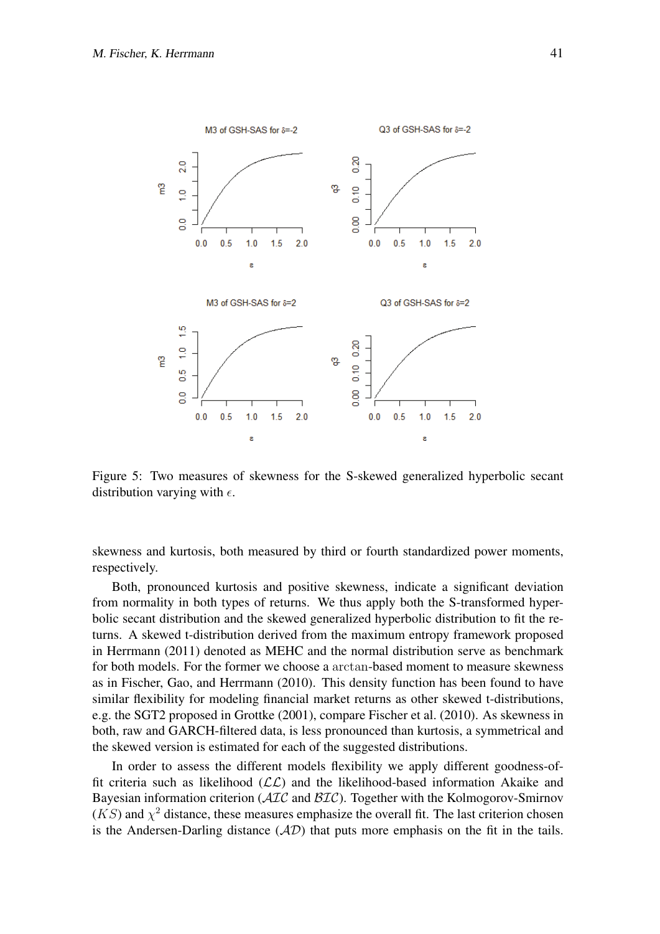

Figure 5: Two measures of skewness for the S-skewed generalized hyperbolic secant distribution varying with *ϵ*.

skewness and kurtosis, both measured by third or fourth standardized power moments, respectively.

Both, pronounced kurtosis and positive skewness, indicate a significant deviation from normality in both types of returns. We thus apply both the S-transformed hyperbolic secant distribution and the skewed generalized hyperbolic distribution to fit the returns. A skewed t-distribution derived from the maximum entropy framework proposed in Herrmann (2011) denoted as MEHC and the normal distribution serve as benchmark for both models. For the former we choose a arctan-based moment to measure skewness as in Fischer, Gao, and Herrmann (2010). This density function has been found to have similar flexibility for modeling financial market returns as other skewed t-distributions, e.g. the SGT2 proposed in Grottke (2001), compare Fischer et al. (2010). As skewness in both, raw and GARCH-filtered data, is less pronounced than kurtosis, a symmetrical and the skewed version is estimated for each of the suggested distributions.

In order to assess the different models flexibility we apply different goodness-offit criteria such as likelihood  $(LL)$  and the likelihood-based information Akaike and Bayesian information criterion (*AIC* and *BIC*). Together with the Kolmogorov-Smirnov  $(KS)$  and  $\chi^2$  distance, these measures emphasize the overall fit. The last criterion chosen is the Andersen-Darling distance (*AD*) that puts more emphasis on the fit in the tails.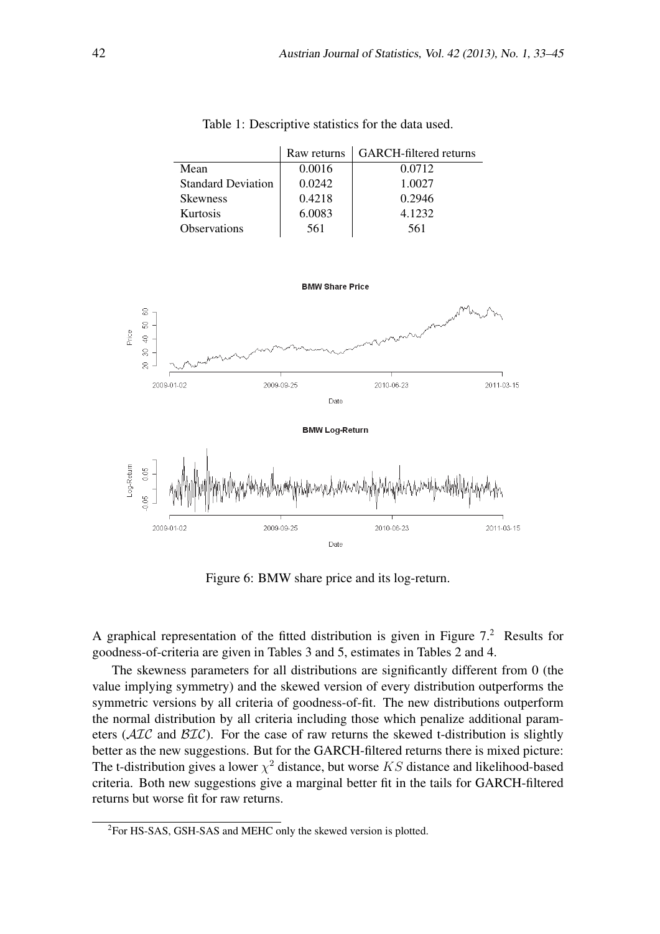|                           | Raw returns | <b>GARCH-filtered returns</b> |
|---------------------------|-------------|-------------------------------|
| Mean                      | 0.0016      | 0.0712                        |
| <b>Standard Deviation</b> | 0.0242      | 1.0027                        |
| <b>Skewness</b>           | 0.4218      | 0.2946                        |
| Kurtosis                  | 6.0083      | 4.1232                        |
| Observations              | 561         | 561                           |

Table 1: Descriptive statistics for the data used.



Figure 6: BMW share price and its log-return.

A graphical representation of the fitted distribution is given in Figure  $7<sup>2</sup>$  Results for goodness-of-criteria are given in Tables 3 and 5, estimates in Tables 2 and 4.

The skewness parameters for all distributions are significantly different from 0 (the value implying symmetry) and the skewed version of every distribution outperforms the symmetric versions by all criteria of goodness-of-fit. The new distributions outperform the normal distribution by all criteria including those which penalize additional parameters (*AIC* and *BIC*). For the case of raw returns the skewed t-distribution is slightly better as the new suggestions. But for the GARCH-filtered returns there is mixed picture: The t-distribution gives a lower  $\chi^2$  distance, but worse *KS* distance and likelihood-based criteria. Both new suggestions give a marginal better fit in the tails for GARCH-filtered returns but worse fit for raw returns.

<sup>&</sup>lt;sup>2</sup>For HS-SAS, GSH-SAS and MEHC only the skewed version is plotted.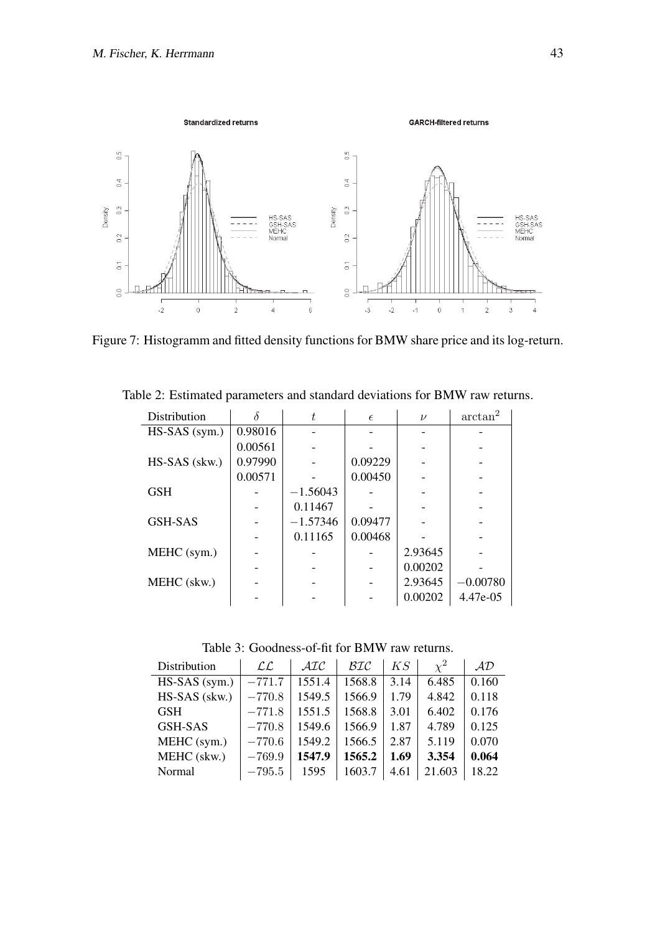

Figure 7: Histogramm and fitted density functions for BMW share price and its log-return.

| Distribution     |         | t.         | $\epsilon$ | $\nu$   | arctan <sup>2</sup> |
|------------------|---------|------------|------------|---------|---------------------|
| $HS- SAS$ (sym.) | 0.98016 |            |            |         |                     |
|                  | 0.00561 |            |            |         |                     |
| HS-SAS (skw.)    | 0.97990 |            | 0.09229    |         |                     |
|                  | 0.00571 |            | 0.00450    |         |                     |
| <b>GSH</b>       |         | $-1.56043$ |            |         |                     |
|                  |         | 0.11467    |            |         |                     |
| GSH-SAS          |         | $-1.57346$ | 0.09477    |         |                     |
|                  |         | 0.11165    | 0.00468    |         |                     |
| MEHC (sym.)      |         |            |            | 2.93645 |                     |
|                  |         |            |            | 0.00202 |                     |
| MEHC (skw.)      |         |            |            | 2.93645 | $-0.00780$          |
|                  |         |            |            | 0.00202 | 4.47e-05            |

Table 2: Estimated parameters and standard deviations for BMW raw returns.

Table 3: Goodness-of-fit for BMW raw returns.

| Distribution     | $\mathcal{LL}$ | $\cal AIC$ | BIC    | KS   | $\chi^2$ | AD    |
|------------------|----------------|------------|--------|------|----------|-------|
| $HS- SAS$ (sym.) | $-771.7$       | 1551.4     | 1568.8 | 3.14 | 6.485    | 0.160 |
| $HS- SAS$ (skw.) | $-770.8$       | 1549.5     | 1566.9 | 1.79 | 4.842    | 0.118 |
| <b>GSH</b>       | $-771.8$       | 1551.5     | 1568.8 | 3.01 | 6.402    | 0.176 |
| <b>GSH-SAS</b>   | $-770.8$       | 1549.6     | 1566.9 | 1.87 | 4.789    | 0.125 |
| MEHC (sym.)      | $-770.6$       | 1549.2     | 1566.5 | 2.87 | 5.119    | 0.070 |
| MEHC (skw.)      | $-769.9$       | 1547.9     | 1565.2 | 1.69 | 3.354    | 0.064 |
| Normal           | $-795.5$       | 1595       | 1603.7 | 4.61 | 21.603   | 18.22 |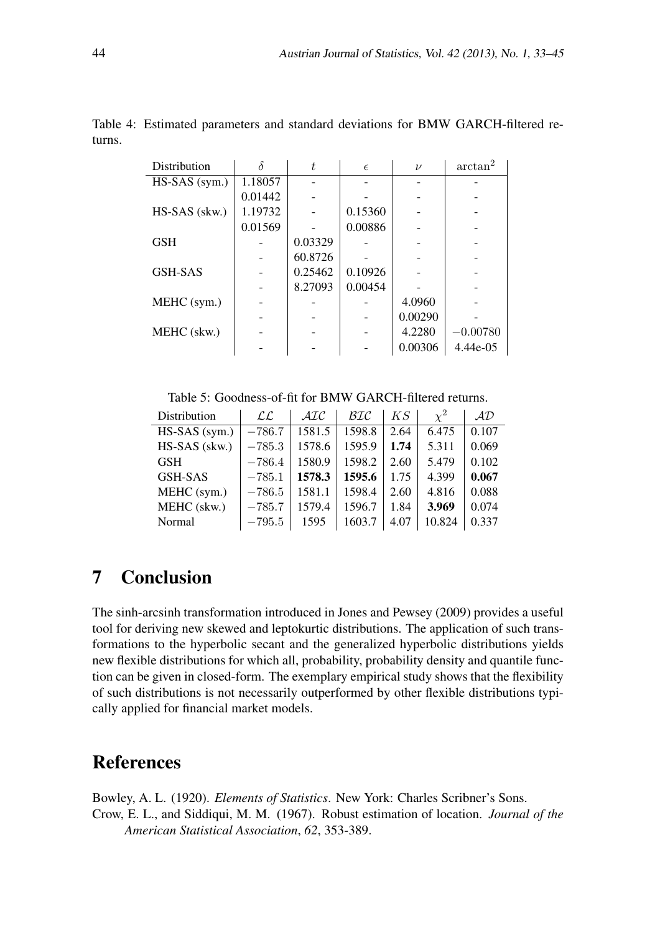| Distribution     | δ       | t       | $\epsilon$ | $\nu$   | arctan <sup>2</sup> |  |
|------------------|---------|---------|------------|---------|---------------------|--|
| $HS- SAS$ (sym.) | 1.18057 |         |            |         |                     |  |
|                  | 0.01442 |         |            |         |                     |  |
| HS-SAS (skw.)    | 1.19732 |         | 0.15360    |         |                     |  |
|                  | 0.01569 |         | 0.00886    |         |                     |  |
| <b>GSH</b>       |         | 0.03329 |            |         |                     |  |
|                  |         | 60.8726 |            |         |                     |  |
| <b>GSH-SAS</b>   |         | 0.25462 | 0.10926    |         |                     |  |
|                  |         | 8.27093 | 0.00454    |         |                     |  |
| MEHC (sym.)      |         |         |            | 4.0960  |                     |  |
|                  |         |         |            | 0.00290 |                     |  |
| MEHC (skw.)      |         |         |            | 4.2280  | $-0.00780$          |  |
|                  |         |         |            | 0.00306 | 4.44e-05            |  |

Table 4: Estimated parameters and standard deviations for BMW GARCH-filtered returns.

Table 5: Goodness-of-fit for BMW GARCH-filtered returns.

| Distribution     | $\mathcal{LL}$ | $\cal{AIC}$ | $\mathcal{BIC}$ | KS   | $\chi^2$ | AD    |
|------------------|----------------|-------------|-----------------|------|----------|-------|
| $HS- SAS$ (sym.) | $-786.7$       | 1581.5      | 1598.8          | 2.64 | 6.475    | 0.107 |
| HS-SAS (skw.)    | $-785.3$       | 1578.6      | 1595.9          | 1.74 | 5.311    | 0.069 |
| <b>GSH</b>       | $-786.4$       | 1580.9      | 1598.2          | 2.60 | 5.479    | 0.102 |
| <b>GSH-SAS</b>   | $-785.1$       | 1578.3      | 1595.6          | 1.75 | 4.399    | 0.067 |
| MEHC (sym.)      | $-786.5$       | 1581.1      | 1598.4          | 2.60 | 4.816    | 0.088 |
| MEHC (skw.)      | $-785.7$       | 1579.4      | 1596.7          | 1.84 | 3.969    | 0.074 |
| Normal           | $-795.5$       | 1595        | 1603.7          | 4.07 | 10.824   | 0.337 |

### 7 Conclusion

The sinh-arcsinh transformation introduced in Jones and Pewsey (2009) provides a useful tool for deriving new skewed and leptokurtic distributions. The application of such transformations to the hyperbolic secant and the generalized hyperbolic distributions yields new flexible distributions for which all, probability, probability density and quantile function can be given in closed-form. The exemplary empirical study shows that the flexibility of such distributions is not necessarily outperformed by other flexible distributions typically applied for financial market models.

### References

Bowley, A. L. (1920). *Elements of Statistics*. New York: Charles Scribner's Sons. Crow, E. L., and Siddiqui, M. M. (1967). Robust estimation of location. *Journal of the American Statistical Association*, *62*, 353-389.